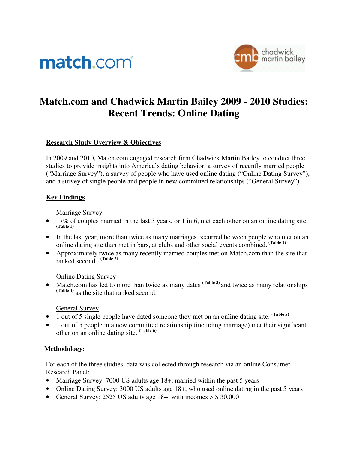# match.com



# **Match.com and Chadwick Martin Bailey 2009 - 2010 Studies: Recent Trends: Online Dating**

## **Research Study Overview & Objectives**

In 2009 and 2010, Match.com engaged research firm Chadwick Martin Bailey to conduct three studies to provide insights into America's dating behavior: a survey of recently married people ("Marriage Survey"), a survey of people who have used online dating ("Online Dating Survey"), and a survey of single people and people in new committed relationships ("General Survey").

#### **Key Findings**

#### Marriage Survey

- 17% of couples married in the last 3 years, or 1 in 6, met each other on an online dating site. **(Table 1)**
- In the last year, more than twice as many marriages occurred between people who met on an online dating site than met in bars, at clubs and other social events combined. **(Table 1)**
- Approximately twice as many recently married couples met on Match.com than the site that ranked second. **(Table 2)**

#### Online Dating Survey

• Match.com has led to more than twice as many dates <sup>(Table 3)</sup> and twice as many relationships **(Table 4)** as the site that ranked second.

#### General Survey

- 1 out of 5 single people have dated someone they met on an online dating site. **(Table 5)**
- 1 out of 5 people in a new committed relationship (including marriage) met their significant other on an online dating site. **(Table 6)**

#### **Methodology:**

For each of the three studies, data was collected through research via an online Consumer Research Panel:

- Marriage Survey: 7000 US adults age 18+, married within the past 5 years
- Online Dating Survey: 3000 US adults age 18+, who used online dating in the past 5 years
- General Survey: 2525 US adults age  $18+$  with incomes  $>$  \$ 30,000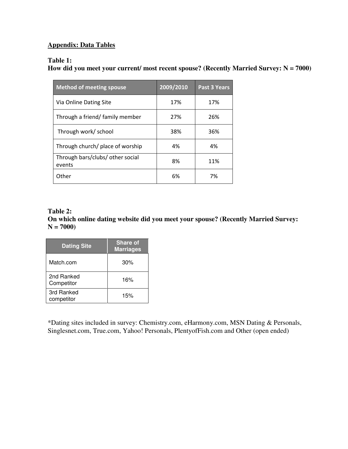# **Appendix: Data Tables**

#### **Table 1:**

**How did you meet your current/ most recent spouse? (Recently Married Survey: N = 7000)** 

| <b>Method of meeting spouse</b>            | 2009/2010 | <b>Past 3 Years</b> |
|--------------------------------------------|-----------|---------------------|
| Via Online Dating Site                     | 17%       | 17%                 |
| Through a friend/ family member            | 27%       | 26%                 |
| Through work/ school                       | 38%       | 36%                 |
| Through church/ place of worship           | 4%        | 4%                  |
| Through bars/clubs/ other social<br>events | 8%        | 11%                 |
| Other                                      | 6%        | 7%                  |

#### **Table 2: On which online dating website did you meet your spouse? (Recently Married Survey: N = 7000)**

| <b>Dating Site</b>       | <b>Share of</b><br><b>Marriages</b> |
|--------------------------|-------------------------------------|
| Match.com                | 30%                                 |
| 2nd Ranked<br>Competitor | 16%                                 |
| 3rd Ranked<br>competitor | 15%                                 |

\*Dating sites included in survey: Chemistry.com, eHarmony.com, MSN Dating & Personals, Singlesnet.com, True.com, Yahoo! Personals, PlentyofFish.com and Other (open ended)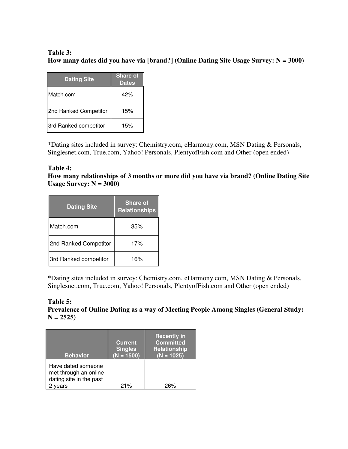# **Table 3: How many dates did you have via [brand?] (Online Dating Site Usage Survey: N = 3000)**

| <b>Dating Site</b>    | <b>Share of</b><br><b>Dates</b> |
|-----------------------|---------------------------------|
| Match.com             | 42%                             |
| 2nd Ranked Competitor | 15%                             |
| 3rd Ranked competitor | 15%                             |

\*Dating sites included in survey: Chemistry.com, eHarmony.com, MSN Dating & Personals, Singlesnet.com, True.com, Yahoo! Personals, PlentyofFish.com and Other (open ended)

## **Table 4:**

**How many relationships of 3 months or more did you have via brand? (Online Dating Site Usage Survey: N = 3000)** 

| <b>Dating Site</b>    | Share of<br><b>Relationships</b> |
|-----------------------|----------------------------------|
| Match.com             | 35%                              |
| 2nd Ranked Competitor | 17%                              |
| 3rd Ranked competitor | 16%                              |

\*Dating sites included in survey: Chemistry.com, eHarmony.com, MSN Dating & Personals, Singlesnet.com, True.com, Yahoo! Personals, PlentyofFish.com and Other (open ended)

#### **Table 5: Prevalence of Online Dating as a way of Meeting People Among Singles (General Study:**   $N = 2525$

| <b>Behavior</b>                                                                | <b>Current</b><br><b>Singles</b><br>$(N = 1500)$ | <b>Recently in</b><br><b>Committed</b><br><b>Relationship</b><br>$(N = 1025)$ |
|--------------------------------------------------------------------------------|--------------------------------------------------|-------------------------------------------------------------------------------|
| Have dated someone<br>met through an online<br>dating site in the past<br>ears | 21%                                              | 26%                                                                           |